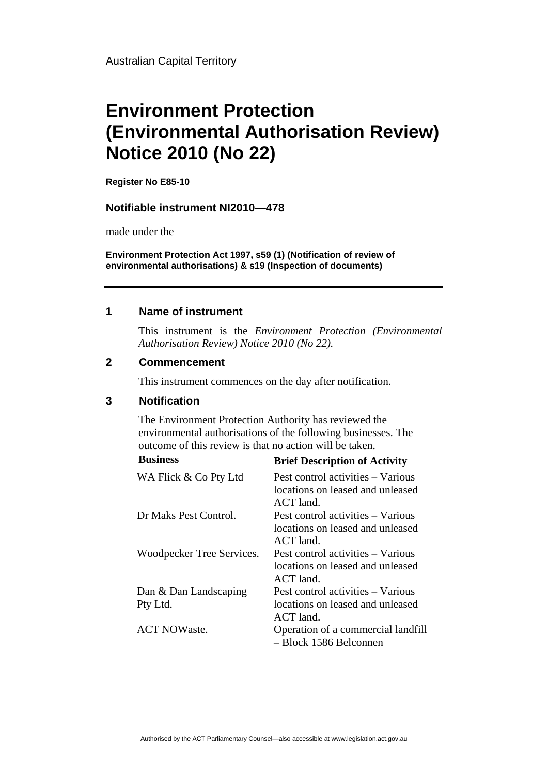Australian Capital Territory

# **Environment Protection (Environmental Authorisation Review) Notice 2010 (No 22)**

**Register No E85-10**

#### **Notifiable instrument NI2010—478**

made under the

**Environment Protection Act 1997, s59 (1) (Notification of review of environmental authorisations) & s19 (Inspection of documents)**

#### **1 Name of instrument**

This instrument is the *Environment Protection (Environmental Authorisation Review) Notice 2010 (No 22).* 

#### **2 Commencement**

This instrument commences on the day after notification.

### **3 Notification**

The Environment Protection Authority has reviewed the environmental authorisations of the following businesses. The outcome of this review is that no action will be taken.

| <b>Business</b>           | <b>Brief Description of Activity</b>                                                 |
|---------------------------|--------------------------------------------------------------------------------------|
| WA Flick & Co Pty Ltd     | Pest control activities – Various<br>locations on leased and unleased<br>ACT land.   |
| Dr Maks Pest Control.     | Pest control activities – Various<br>locations on leased and unleased<br>$ACT$ land. |
| Woodpecker Tree Services. | Pest control activities – Various<br>locations on leased and unleased<br>ACT land.   |
| Dan & Dan Landscaping     | Pest control activities – Various                                                    |
| Pty Ltd.                  | locations on leased and unleased<br>$ACT$ land.                                      |
| <b>ACT NOWaste.</b>       | Operation of a commercial landfill<br>- Block 1586 Belconnen                         |